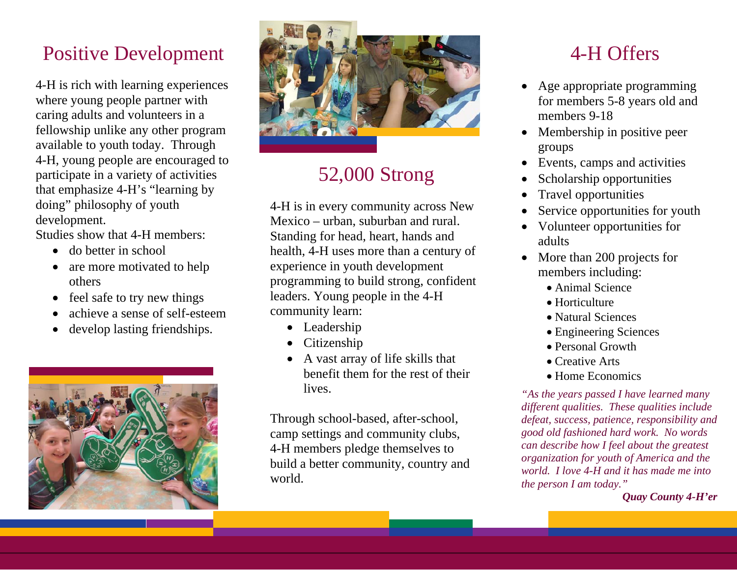### Positive Development

4-H is rich with learning experiences where young people partner with caring adults and volunteers in a fellowship unlike any other program available to youth today. Through 4-H, young people are encouraged to participate in a variety of activities that emphasize 4-H's "learning by doing" philosophy of youth development.

Studies show that 4-H members:

- do better in school
- are more motivated to help others
- 0 feel safe to try new things
- 0 achieve a sense of self-esteem
- 0 develop lasting friendships.





### 52,000 Strong

4-H is in every community across New Mexico – urban, suburban and rural. Standing for head, heart, hands and health, 4-H uses more than a century of experience in youth development programming to build strong, confident leaders. Young people in the 4-H community learn:

- Leadership
- Citizenship
- A vast array of life skills that benefit them for the rest of their lives.

Through school-based, after-school, camp settings and community clubs, 4-H members pledge themselves to build a better community, country and world.

### 4-H Offers

- 0 Age appropriate programming for members 5-8 years old and members 9-18
- Membership in positive peer groups
- Events, camps and activities
- 0 Scholarship opportunities
- 0 Travel opportunities
- 0 Service opportunities for youth
- $\bullet$  Volunteer opportunities for adults
- More than 200 projects for members including:
	- Animal Science
	- Horticulture
	- Natural Sciences
	- Engineering Sciences
	- Personal Growth
	- Creative Arts
	- Home Economics

*"As the years passed I have learned many different qualities. These qualities include defeat, success, patience, responsibility and good old fashioned hard work. No words can describe how I feel about the greatest organization for youth of America and the world. I love 4-H and it has made me into the person I am today."* 

*Quay County 4-H'er*